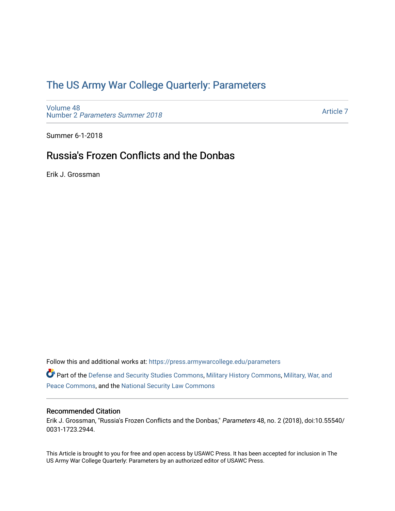## [The US Army War College Quarterly: Parameters](https://press.armywarcollege.edu/parameters)

[Volume 48](https://press.armywarcollege.edu/parameters/vol48) Number 2 [Parameters Summer 2018](https://press.armywarcollege.edu/parameters/vol48/iss2) 

[Article 7](https://press.armywarcollege.edu/parameters/vol48/iss2/7) 

Summer 6-1-2018

# Russia's Frozen Conflicts and the Donbas

Erik J. Grossman

Follow this and additional works at: [https://press.armywarcollege.edu/parameters](https://press.armywarcollege.edu/parameters?utm_source=press.armywarcollege.edu%2Fparameters%2Fvol48%2Fiss2%2F7&utm_medium=PDF&utm_campaign=PDFCoverPages) 

Part of the [Defense and Security Studies Commons](http://network.bepress.com/hgg/discipline/394?utm_source=press.armywarcollege.edu%2Fparameters%2Fvol48%2Fiss2%2F7&utm_medium=PDF&utm_campaign=PDFCoverPages), [Military History Commons,](http://network.bepress.com/hgg/discipline/504?utm_source=press.armywarcollege.edu%2Fparameters%2Fvol48%2Fiss2%2F7&utm_medium=PDF&utm_campaign=PDFCoverPages) [Military, War, and](http://network.bepress.com/hgg/discipline/861?utm_source=press.armywarcollege.edu%2Fparameters%2Fvol48%2Fiss2%2F7&utm_medium=PDF&utm_campaign=PDFCoverPages)  [Peace Commons](http://network.bepress.com/hgg/discipline/861?utm_source=press.armywarcollege.edu%2Fparameters%2Fvol48%2Fiss2%2F7&utm_medium=PDF&utm_campaign=PDFCoverPages), and the [National Security Law Commons](http://network.bepress.com/hgg/discipline/1114?utm_source=press.armywarcollege.edu%2Fparameters%2Fvol48%2Fiss2%2F7&utm_medium=PDF&utm_campaign=PDFCoverPages)

## Recommended Citation

Erik J. Grossman, "Russia's Frozen Conflicts and the Donbas," Parameters 48, no. 2 (2018), doi:10.55540/ 0031-1723.2944.

This Article is brought to you for free and open access by USAWC Press. It has been accepted for inclusion in The US Army War College Quarterly: Parameters by an authorized editor of USAWC Press.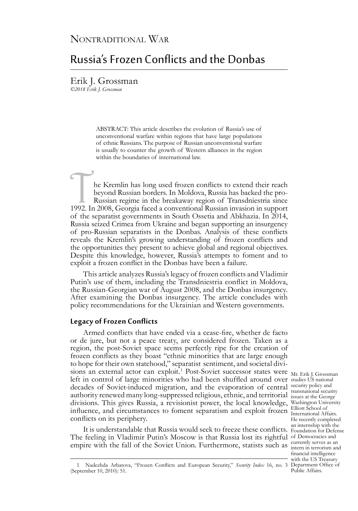## Nontraditional War

## Russia's Frozen Conflicts and the Donbas

Erik J. Grossman *©2018 Erik J. Grossman*

> ABSTRACT: This article describes the evolution of Russia's use of unconventional warfare within regions that have large populations of ethnic Russians. The purpose of Russian unconventional warfare is usually to counter the growth of Western alliances in the region within the boundaries of international law.

The Kremlin has long used frozen conflicts to extend their reach beyond Russian borders. In Moldova, Russia has backed the pro-<br>Russian regime in the breakaway region of Transdniestria since<br>1992. In 2008, Georgia faced a beyond Russian borders. In Moldova, Russia has backed the pro-Russian regime in the breakaway region of Transdniestria since of the separatist governments in South Ossetia and Abkhazia. In 2014, Russia seized Crimea from Ukraine and began supporting an insurgency of pro-Russian separatists in the Donbas. Analysis of these conflicts reveals the Kremlin's growing understanding of frozen conflicts and the opportunities they present to achieve global and regional objectives. Despite this knowledge, however, Russia's attempts to foment and to exploit a frozen conflict in the Donbas have been a failure.

This article analyzes Russia's legacy of frozen conflicts and Vladimir Putin's use of them, including the Transdniestria conflict in Moldova, the Russian-Georgian war of August 2008, and the Donbas insurgency. After examining the Donbas insurgency. The article concludes with policy recommendations for the Ukrainian and Western governments.

### **Legacy of Frozen Conflicts**

sions an external actor can exploit.<sup>1</sup> Post-Soviet successor states were Mr. Erik J. Grossman left in control of large minorities who had been shuffled around over studies US national decades of Soviet-induced migration, and the evaporation of central security policy and authority renewed many long-suppressed religious, ethnic, and territorial issues at the George divisions. This gives Russia, a revisionist power, the local knowledge, Washington University influence, and circumstances to foment separatism and exploit frozen  $\frac{\text{Elliot School of}}{\text{International Affairs}}$ Armed conflicts that have ended via a cease-fire, whether de facto or de jure, but not a peace treaty, are considered frozen. Taken as a region, the post-Soviet space seems perfectly ripe for the creation of frozen conflicts as they boast "ethnic minorities that are large enough to hope for their own statehood," separatist sentiment, and societal diviconflicts on its periphery.

It is understandable that Russia would seek to freeze these conflicts. Foundation for Defense The feeling in Vladimir Putin's Moscow is that Russia lost its rightful of Democracies and empire with the fall of the Soviet Union. Furthermore, statists such as  $\frac{\text{currently serves as an}}{\text{interm in terrosism and}}$ 

transnational security Elliott School of He recently completed an internship with the currently serves as an financial intelligence with the US Treasury Public Affairs.

<sup>1</sup> Nadezhda Arbatova, "Frozen Conflicts and European Security," Security Index 16, no. 3 Department Office of (September 10, 2010): 51.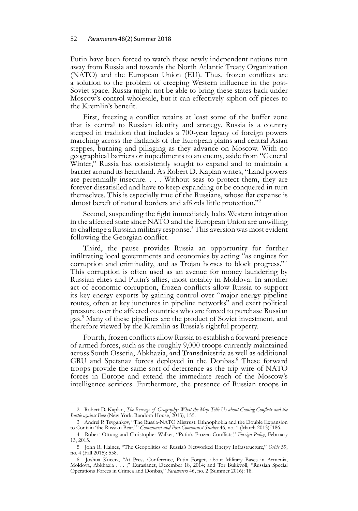#### 52 Parameters 48(2) Summer 2018

Putin have been forced to watch these newly independent nations turn away from Russia and towards the North Atlantic Treaty Organization (NATO) and the European Union (EU). Thus, frozen conflicts are a solution to the problem of creeping Western influence in the post-Soviet space. Russia might not be able to bring these states back under Moscow's control wholesale, but it can effectively siphon off pieces to the Kremlin's benefit.

First, freezing a conflict retains at least some of the buffer zone that is central to Russian identity and strategy. Russia is a country steeped in tradition that includes a 700-year legacy of foreign powers marching across the flatlands of the European plains and central Asian steppes, burning and pillaging as they advance on Moscow. With no geographical barriers or impediments to an enemy, aside from "General Winter," Russia has consistently sought to expand and to maintain a barrier around its heartland. As Robert D. Kaplan writes, "Land powers are perennially insecure. . . . Without seas to protect them, they are forever dissatisfied and have to keep expanding or be conquered in turn themselves. This is especially true of the Russians, whose flat expanse is almost bereft of natural borders and affords little protection."2

Second, suspending the fight immediately halts Western integration in the affected state since NATO and the European Union are unwilling to challenge a Russian military response.<sup>3</sup> This aversion was most evident following the Georgian conflict.

Third, the pause provides Russia an opportunity for further infiltrating local governments and economies by acting "as engines for corruption and criminality, and as Trojan horses to block progress."<sup>4</sup> This corruption is often used as an avenue for money laundering by Russian elites and Putin's allies, most notably in Moldova. In another act of economic corruption, frozen conflicts allow Russia to support its key energy exports by gaining control over "major energy pipeline routes, often at key junctures in pipeline networks" and exert political pressure over the affected countries who are forced to purchase Russian gas.5 Many of these pipelines are the product of Soviet investment, and therefore viewed by the Kremlin as Russia's rightful property.

Fourth, frozen conflicts allow Russia to establish a forward presence of armed forces, such as the roughly 9,000 troops currently maintained across South Ossetia, Abkhazia, and Transdniestria as well as additional GRU and Spetsnaz forces deployed in the Donbas.<sup>6</sup> These forward troops provide the same sort of deterrence as the trip wire of NATO forces in Europe and extend the immediate reach of the Moscow's intelligence services. Furthermore, the presence of Russian troops in

<sup>2</sup> Robert D. Kaplan, *The Revenge of Geography: What the Map Tells Us about Coming Conflicts and the Battle against Fate* (New York: Random House, 2013), 155.

<sup>3</sup> Andrei P. Tsygankov, "The Russia-NATO Mistrust: Ethnophobia and the Double Expansion to Contain 'the Russian Bear,' " *Communist and Post-Communist Studies* 46, no. 1 (March 2013): 186.

<sup>4</sup> Robert Ottung and Christopher Walker, "Putin's Frozen Conflicts," *Foreign Policy*, February 13, 2015.

<sup>5</sup> John R. Haines, "The Geopolitics of Russia's Networked Energy Infrastructure," *Orbis* 59, no. 4 (Fall 2015): 558.

<sup>6</sup> Joshua Kucera, "At Press Conference, Putin Forgets about Military Bases in Armenia, Moldova, Abkhazia . . . ," Eurasianet, December 18, 2014; and Tor Bukkvoll, "Russian Special Operations Forces in Crimea and Donbas," *Parameters* 46, no. 2 (Summer 2016): 18.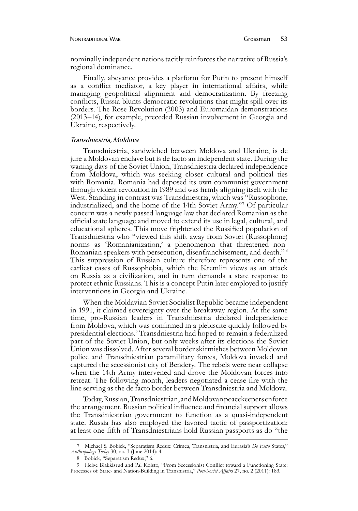#### Nontraditional War Grossman 53

nominally independent nations tacitly reinforces the narrative of Russia's regional dominance.

Finally, abeyance provides a platform for Putin to present himself as a conflict mediator, a key player in international affairs, while managing geopolitical alignment and democratization. By freezing conflicts, Russia blunts democratic revolutions that might spill over its borders. The Rose Revolution (2003) and Euromaidan demonstrations (2013–14), for example, preceded Russian involvement in Georgia and Ukraine, respectively.

#### Transdniestria, Moldova

Transdniestria, sandwiched between Moldova and Ukraine, is de jure a Moldovan enclave but is de facto an independent state. During the waning days of the Soviet Union, Transdniestria declared independence from Moldova, which was seeking closer cultural and political ties with Romania. Romania had deposed its own communist government through violent revolution in 1989 and was firmly aligning itself with the West. Standing in contrast was Transdniestria, which was "Russophone, industrialized, and the home of the 14th Soviet Army."7 Of particular concern was a newly passed language law that declared Romanian as the official state language and moved to extend its use in legal, cultural, and educational spheres. This move frightened the Russified population of Transdniestria who "viewed this shift away from Soviet (Russophone) norms as 'Romanianization,' a phenomenon that threatened non-Romanian speakers with persecution, disenfranchisement, and death." <sup>8</sup> This suppression of Russian culture therefore represents one of the earliest cases of Russophobia, which the Kremlin views as an attack on Russia as a civilization, and in turn demands a state response to protect ethnic Russians. This is a concept Putin later employed to justify interventions in Georgia and Ukraine.

When the Moldavian Soviet Socialist Republic became independent in 1991, it claimed sovereignty over the breakaway region. At the same time, pro-Russian leaders in Transdniestria declared independence from Moldova, which was confirmed in a plebiscite quickly followed by presidential elections.9 Transdniestria had hoped to remain a federalized part of the Soviet Union, but only weeks after its elections the Soviet Union was dissolved. After several border skirmishes between Moldovan police and Transdniestrian paramilitary forces, Moldova invaded and captured the secessionist city of Bendery. The rebels were near collapse when the 14th Army intervened and drove the Moldovan forces into retreat. The following month, leaders negotiated a cease-fire with the line serving as the de facto border between Transdniestria and Moldova.

Today, Russian, Transdniestrian, and Moldovan peacekeepers enforce the arrangement. Russian political influence and financial support allows the Transdniestrian government to function as a quasi-independent state. Russia has also employed the favored tactic of passportization: at least one-fifth of Transdniestrians hold Russian passports as do "the

<sup>7</sup> Michael S. Bobick, "Separatism Redux: Crimea, Transnistria, and Eurasia's *De Facto* States," *Anthropology Today* 30, no. 3 (June 2014): 4.

<sup>8</sup> Bobick, "Separatism Redux," 6.

<sup>9</sup> Helge Blakkisrud and Pal Kolsto, "From Secessionist Conflict toward a Functioning State: Processes of State- and Nation-Building in Transnistria," *Post-Soviet Affairs* 27, no. 2 (2011): 183.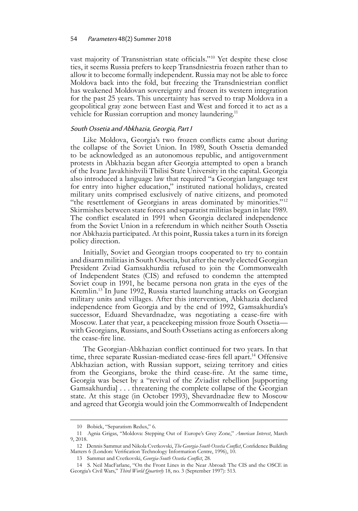vast majority of Transnistrian state officials."10 Yet despite these close ties, it seems Russia prefers to keep Transdniestria frozen rather than to allow it to become formally independent. Russia may not be able to force Moldova back into the fold, but freezing the Transdniestrian conflict has weakened Moldovan sovereignty and frozen its western integration for the past 25 years. This uncertainty has served to trap Moldova in a geopolitical gray zone between East and West and forced it to act as a vehicle for Russian corruption and money laundering.<sup>11</sup>

### South Ossetia and Abkhazia, Georgia, Part I

Like Moldova, Georgia's two frozen conflicts came about during the collapse of the Soviet Union. In 1989, South Ossetia demanded to be acknowledged as an autonomous republic, and antigovernment protests in Abkhazia began after Georgia attempted to open a branch of the Ivane Javakhishvili Tbilisi State University in the capital. Georgia also introduced a language law that required "a Georgian language test for entry into higher education," instituted national holidays, created military units comprised exclusively of native citizens, and promoted "the resettlement of Georgians in areas dominated by minorities."<sup>12</sup> Skirmishes between state forces and separatist militias began in late 1989. The conflict escalated in 1991 when Georgia declared independence from the Soviet Union in a referendum in which neither South Ossetia nor Abkhazia participated. At this point, Russia takes a turn in its foreign policy direction.

Initially, Soviet and Georgian troops cooperated to try to contain and disarm militias in South Ossetia, but after the newly elected Georgian President Zviad Gamsakhurdia refused to join the Commonwealth of Independent States (CIS) and refused to condemn the attempted Soviet coup in 1991, he became persona non grata in the eyes of the Kremlin.13 In June 1992, Russia started launching attacks on Georgian military units and villages. After this intervention, Abkhazia declared independence from Georgia and by the end of 1992, Gamsakhurdia's successor, Eduard Shevardnadze, was negotiating a cease-fire with Moscow. Later that year, a peacekeeping mission froze South Ossetia with Georgians, Russians, and South Ossetians acting as enforcers along the cease-fire line.

The Georgian-Abkhazian conflict continued for two years. In that time, three separate Russian-mediated cease-fires fell apart.14 Offensive Abkhazian action, with Russian support, seizing territory and cities from the Georgians, broke the third cease-fire. At the same time, Georgia was beset by a "revival of the Zviadist rebellion [supporting Gamsakhurdia] . . . threatening the complete collapse of the Georgian state. At this stage (in October 1993), Shevardnadze flew to Moscow and agreed that Georgia would join the Commonwealth of Independent

<sup>10</sup> Bobick, "Separatism Redux," 6.

<sup>11</sup> Agnia Grigas, "Moldova: Stepping Out of Europe's Grey Zone," *American Interest*, March 9, 2018.

<sup>12</sup> Dennis Sammut and Nikola Cvetkovski, *The Georgia-South Ossetia Conflict*, Confidence Building Matters 6 (London: Verification Technology Information Centre, 1996), 10.

<sup>13</sup> Sammut and Cvetkovski, *Georgia-South Ossetia Conflict*, 28.

<sup>14</sup> S. Neil MacFarlane, "On the Front Lines in the Near Abroad: The CIS and the OSCE in Georgia's Civil Wars," *Third World Quarterly* 18, no. 3 (September 1997): 513.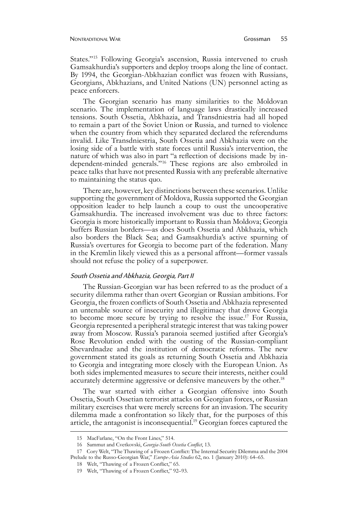States."15 Following Georgia's ascension, Russia intervened to crush Gamsakhurdia's supporters and deploy troops along the line of contact. By 1994, the Georgian-Abkhazian conflict was frozen with Russians, Georgians, Abkhazians, and United Nations (UN) personnel acting as peace enforcers.

The Georgian scenario has many similarities to the Moldovan scenario. The implementation of language laws drastically increased tensions. South Ossetia, Abkhazia, and Transdniestria had all hoped to remain a part of the Soviet Union or Russia, and turned to violence when the country from which they separated declared the referendums invalid. Like Transdniestria, South Ossetia and Abkhazia were on the losing side of a battle with state forces until Russia's intervention, the nature of which was also in part "a reflection of decisions made by independent-minded generals."16 These regions are also embroiled in peace talks that have not presented Russia with any preferable alternative to maintaining the status quo.

There are, however, key distinctions between these scenarios. Unlike supporting the government of Moldova, Russia supported the Georgian opposition leader to help launch a coup to oust the uncooperative Gamsakhurdia. The increased involvement was due to three factors: Georgia is more historically important to Russia than Moldova; Georgia buffers Russian borders—as does South Ossetia and Abkhazia, which also borders the Black Sea; and Gamsakhurdia's active spurning of Russia's overtures for Georgia to become part of the federation. Many in the Kremlin likely viewed this as a personal affront—former vassals should not refuse the policy of a superpower.

#### South Ossetia and Abkhazia, Georgia, Part II

The Russian-Georgian war has been referred to as the product of a security dilemma rather than overt Georgian or Russian ambitions. For Georgia, the frozen conflicts of South Ossetia and Abkhazia represented an untenable source of insecurity and illegitimacy that drove Georgia to become more secure by trying to resolve the issue.<sup>17</sup> For Russia, Georgia represented a peripheral strategic interest that was taking power away from Moscow. Russia's paranoia seemed justified after Georgia's Rose Revolution ended with the ousting of the Russian-compliant Shevardnadze and the institution of democratic reforms. The new government stated its goals as returning South Ossetia and Abkhazia to Georgia and integrating more closely with the European Union. As both sides implemented measures to secure their interests, neither could accurately determine aggressive or defensive maneuvers by the other.<sup>18</sup>

The war started with either a Georgian offensive into South Ossetia, South Ossetian terrorist attacks on Georgian forces, or Russian military exercises that were merely screens for an invasion. The security dilemma made a confrontation so likely that, for the purposes of this article, the antagonist is inconsequential.<sup>19</sup> Georgian forces captured the

<sup>15</sup> MacFarlane, "On the Front Lines," 514.

<sup>16</sup> Sammut and Cvetkovski, *Georgia-South Ossetia Conflict*, 13.

<sup>17</sup> Cory Welt, "The Thawing of a Frozen Conflict: The Internal Security Dilemma and the 2004 Prelude to the Russo-Georgian War," *Europe-Asia Studies* 62, no. 1 (January 2010): 64–65.

<sup>18</sup> Welt, "Thawing of a Frozen Conflict," 65.

<sup>19</sup> Welt, "Thawing of a Frozen Conflict," 92-93.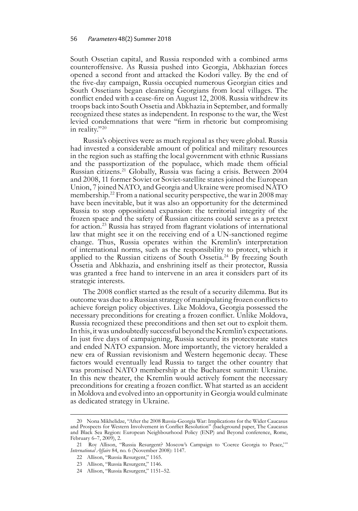South Ossetian capital, and Russia responded with a combined arms counteroffensive. As Russia pushed into Georgia, Abkhazian forces opened a second front and attacked the Kodori valley. By the end of the five-day campaign, Russia occupied numerous Georgian cities and South Ossetians began cleansing Georgians from local villages. The conflict ended with a cease-fire on August 12, 2008. Russia withdrew its troops back into South Ossetia and Abkhazia in September, and formally recognized these states as independent. In response to the war, the West levied condemnations that were "firm in rhetoric but compromising in reality."20

Russia's objectives were as much regional as they were global. Russia had invested a considerable amount of political and military resources in the region such as staffing the local government with ethnic Russians and the passportization of the populace, which made them official Russian citizens.21 Globally, Russia was facing a crisis. Between 2004 and 2008, 11 former Soviet or Soviet-satellite states joined the European Union, 7 joined NATO, and Georgia and Ukraine were promised NATO membership.<sup>22</sup> From a national security perspective, the war in 2008 may have been inevitable, but it was also an opportunity for the determined Russia to stop oppositional expansion: the territorial integrity of the frozen space and the safety of Russian citizens could serve as a pretext for action.23 Russia has strayed from flagrant violations of international law that might see it on the receiving end of a UN-sanctioned regime change. Thus, Russia operates within the Kremlin's interpretation of international norms, such as the responsibility to protect, which it applied to the Russian citizens of South Ossetia.<sup>24</sup> By freezing South Ossetia and Abkhazia, and enshrining itself as their protector, Russia was granted a free hand to intervene in an area it considers part of its strategic interests.

The 2008 conflict started as the result of a security dilemma. But its outcome was due to a Russian strategy of manipulating frozen conflicts to achieve foreign policy objectives. Like Moldova, Georgia possessed the necessary preconditions for creating a frozen conflict. Unlike Moldova, Russia recognized these preconditions and then set out to exploit them. In this, it was undoubtedly successful beyond the Kremlin's expectations. In just five days of campaigning, Russia secured its protectorate states and ended NATO expansion. More importantly, the victory heralded a new era of Russian revisionism and Western hegemonic decay. These factors would eventually lead Russia to target the other country that was promised NATO membership at the Bucharest summit: Ukraine. In this new theater, the Kremlin would actively foment the necessary preconditions for creating a frozen conflict. What started as an accident in Moldova and evolved into an opportunity in Georgia would culminate as dedicated strategy in Ukraine.

<sup>20</sup> Nona Mikhelidze, "After the 2008 Russia-Georgia War: Implications for the Wider Caucasus and Prospects for Western Involvement in Conflict Resolution" (background paper, The Caucasus and Black Sea Region: European Neighbourhood Policy (ENP) and Beyond conference, Rome, February 6-7, 2009), 2.

<sup>21</sup> Roy Allison, "Russia Resurgent? Moscow's Campaign to 'Coerce Georgia to Peace,'" *International Affairs* 84, no. 6 (November 2008): 1147.

<sup>22</sup> Allison, "Russia Resurgent," 1165.

<sup>23</sup> Allison, "Russia Resurgent," 1146.

<sup>24</sup> Allison, "Russia Resurgent," 1151–52.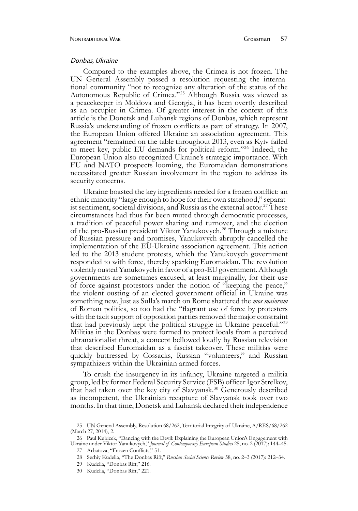#### Donbas, Ukraine

Compared to the examples above, the Crimea is not frozen. The UN General Assembly passed a resolution requesting the international community "not to recognize any alteration of the status of the Autonomous Republic of Crimea."25 Although Russia was viewed as a peacekeeper in Moldova and Georgia, it has been overtly described as an occupier in Crimea. Of greater interest in the context of this article is the Donetsk and Luhansk regions of Donbas, which represent Russia's understanding of frozen conflicts as part of strategy. In 2007, the European Union offered Ukraine an association agreement. This agreement "remained on the table throughout 2013, even as Kyiv failed to meet key, public EU demands for political reform."26 Indeed, the European Union also recognized Ukraine's strategic importance. With EU and NATO prospects looming, the Euromaidan demonstrations necessitated greater Russian involvement in the region to address its security concerns.

Ukraine boasted the key ingredients needed for a frozen conflict: an ethnic minority "large enough to hope for their own statehood," separatist sentiment, societal divisions, and Russia as the external actor.<sup>27</sup> These circumstances had thus far been muted through democratic processes, a tradition of peaceful power sharing and turnover, and the election of the pro-Russian president Viktor Yanukovych.<sup>28</sup> Through a mixture of Russian pressure and promises, Yanukovych abruptly cancelled the implementation of the EU-Ukraine association agreement. This action led to the 2013 student protests, which the Yanukovych government responded to with force, thereby sparking Euromaidan. The revolution violently ousted Yanukovych in favor of a pro-EU government. Although governments are sometimes excused, at least marginally, for their use of force against protestors under the notion of "keeping the peace," the violent ousting of an elected government official in Ukraine was something new. Just as Sulla's march on Rome shattered the *mos maiorum* of Roman politics, so too had the "flagrant use of force by protesters with the tacit support of opposition parties removed the major constraint that had previously kept the political struggle in Ukraine peaceful."29 Militias in the Donbas were formed to protect locals from a perceived ultranationalist threat, a concept bellowed loudly by Russian television that described Euromaidan as a fascist takeover. These militias were quickly buttressed by Cossacks, Russian "volunteers," and Russian sympathizers within the Ukrainian armed forces.

To crush the insurgency in its infancy, Ukraine targeted a militia group, led by former Federal Security Service (FSB) officer Igor Strelkov, that had taken over the key city of Slavyansk.30 Generously described as incompetent, the Ukrainian recapture of Slavyansk took over two months. In that time, Donetsk and Luhansk declared their independence

<sup>25</sup> UN General Assembly, Resolution 68/262, Territorial Integrity of Ukraine, A/RES/68/262 (March 27, 2014), 2.

<sup>26</sup> Paul Kubicek, "Dancing with the Devil: Explaining the European Union's Engagement with Ukraine under Viktor Yanukovych," *Journal of Contemporary European Studies* 25, no. 2 (2017): 144–45. 27 Arbatova, "Frozen Conflicts," 51.

<sup>28</sup> Serhiy Kudelia, "The Donbas Rift," *Russian Social Science Review* 58, no. 2–3 (2017): 212–34.

<sup>29</sup> **Kudelia**, "Donbas Rift," 216.

<sup>30</sup> **Kudelia**, "Donbas Rift," 221.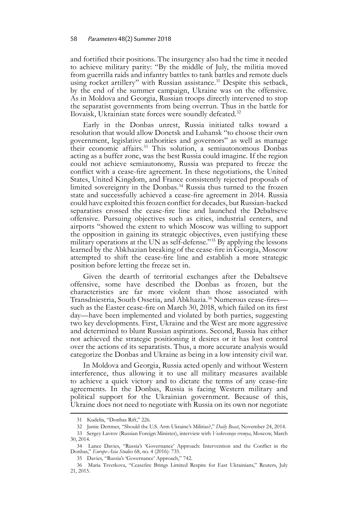and fortified their positions. The insurgency also had the time it needed to achieve military parity: "By the middle of July, the militia moved from guerrilla raids and infantry battles to tank battles and remote duels using rocket artillery" with Russian assistance.<sup>31</sup> Despite this setback, by the end of the summer campaign, Ukraine was on the offensive. As in Moldova and Georgia, Russian troops directly intervened to stop the separatist governments from being overrun. Thus in the battle for Ilovaisk, Ukrainian state forces were soundly defeated.<sup>32</sup>

Early in the Donbas unrest, Russia initiated talks toward a resolution that would allow Donetsk and Luhansk "to choose their own government, legislative authorities and governors" as well as manage their economic affairs.33 This solution, a semiautonomous Donbas acting as a buffer zone, was the best Russia could imagine. If the region could not achieve semiautonomy, Russia was prepared to freeze the conflict with a cease-fire agreement. In these negotiations, the United States, United Kingdom, and France consistently rejected proposals of limited sovereignty in the Donbas.<sup>34</sup> Russia thus turned to the frozen state and successfully achieved a cease-fire agreement in 2014. Russia could have exploited this frozen conflict for decades, but Russian-backed separatists crossed the cease-fire line and launched the Debaltseve offensive. Pursuing objectives such as cities, industrial centers, and airports "showed the extent to which Moscow was willing to support the opposition in gaining its strategic objectives, even justifying these military operations at the UN as self-defense."35 By applying the lessons learned by the Abkhazian breaking of the cease-fire in Georgia, Moscow attempted to shift the cease-fire line and establish a more strategic position before letting the freeze set in.

Given the dearth of territorial exchanges after the Debaltseve offensive, some have described the Donbas as frozen, but the characteristics are far more violent than those associated with Transdniestria, South Ossetia, and Abkhazia.36 Numerous cease-fires such as the Easter cease-fire on March 30, 2018, which failed on its first day—have been implemented and violated by both parties, suggesting two key developments. First, Ukraine and the West are more aggressive and determined to blunt Russian aspirations. Second, Russia has either not achieved the strategic positioning it desires or it has lost control over the actions of its separatists. Thus, a more accurate analysis would categorize the Donbas and Ukraine as being in a low intensity civil war.

In Moldova and Georgia, Russia acted openly and without Western interference, thus allowing it to use all military measures available to achieve a quick victory and to dictate the terms of any cease-fire agreements. In the Donbas, Russia is facing Western military and political support for the Ukrainian government. Because of this, Ukraine does not need to negotiate with Russia on its own nor negotiate

<sup>31</sup> **Kudelia**, "Donbas Rift," 226.

<sup>32</sup> Jamie Dettmer, "Should the U.S. Arm Ukraine's Militias?," *Daily Beast*, November 24, 2014.

<sup>33</sup> Sergey Lavrov (Russian Foreign Minister), interview with *Voskresnoye vremya*, Moscow, March 30, 2014.

<sup>34</sup> Lance Davies, "Russia's 'Governance' Approach: Intervention and the Conflict in the Donbas," *Europe-Asia Studies* 68, no. 4 (2016): 735.

<sup>35</sup> Davies, "Russia's 'Governance' Approach," 742.

<sup>36</sup> Maria Tsvetkova, "Ceasefire Brings Limited Respite for East Ukrainians," Reuters, July 21, 2015.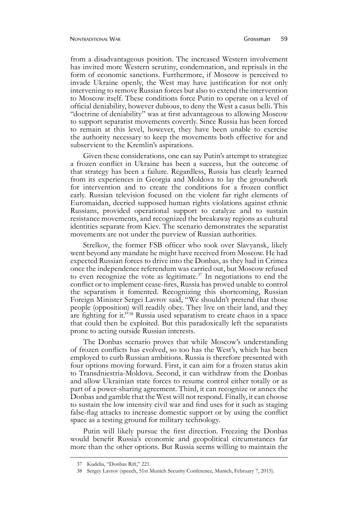from a disadvantageous position. The increased Western involvement has invited more Western scrutiny, condemnation, and reprisals in the form of economic sanctions. Furthermore, if Moscow is perceived to invade Ukraine openly, the West may have justification for not only intervening to remove Russian forces but also to extend the intervention to Moscow itself. These conditions force Putin to operate on a level of official deniability, however dubious, to deny the West a casus belli. This "doctrine of deniability" was at first advantageous to allowing Moscow to support separatist movements covertly. Since Russia has been forced to remain at this level, however, they have been unable to exercise the authority necessary to keep the movements both effective for and subservient to the Kremlin's aspirations.

Given these considerations, one can say Putin's attempt to strategize a frozen conflict in Ukraine has been a success, but the outcome of that strategy has been a failure. Regardless, Russia has clearly learned from its experiences in Georgia and Moldova to lay the groundwork for intervention and to create the conditions for a frozen conflict early. Russian television focused on the violent far right elements of Euromaidan, decried supposed human rights violations against ethnic Russians, provided operational support to catalyze and to sustain resistance movements, and recognized the breakaway regions as cultural identities separate from Kiev. The scenario demonstrates the separatist movements are not under the purview of Russian authorities.

Strelkov, the former FSB officer who took over Slavyansk, likely went beyond any mandate he might have received from Moscow. He had expected Russian forces to drive into the Donbas, as they had in Crimea once the independence referendum was carried out, but Moscow refused to even recognize the vote as legitimate. $37$  In negotiations to end the conflict or to implement cease-fires, Russia has proved unable to control the separatism it fomented. Recognizing this shortcoming, Russian Foreign Minister Sergei Lavrov said, "We shouldn't pretend that those people (opposition) will readily obey. They live on their land, and they are fighting for it."38 Russia used separatism to create chaos in a space that could then be exploited. But this paradoxically left the separatists prone to acting outside Russian interests.

The Donbas scenario proves that while Moscow's understanding of frozen conflicts has evolved, so too has the West's, which has been employed to curb Russian ambitions. Russia is therefore presented with four options moving forward. First, it can aim for a frozen status akin to Transdniestria-Moldova. Second, it can withdraw from the Donbas and allow Ukrainian state forces to resume control either totally or as part of a power-sharing agreement. Third, it can recognize or annex the Donbas and gamble that the West will not respond. Finally, it can choose to sustain the low intensity civil war and find uses for it such as staging false-flag attacks to increase domestic support or by using the conflict space as a testing ground for military technology.

Putin will likely pursue the first direction. Freezing the Donbas would benefit Russia's economic and geopolitical circumstances far more than the other options. But Russia seems willing to maintain the

<sup>37</sup> Kudelia, "Donbas Rift," 221.

<sup>38</sup> Sergey Lavrov (speech, 51st Munich Security Conference, Munich, February 7, 2015).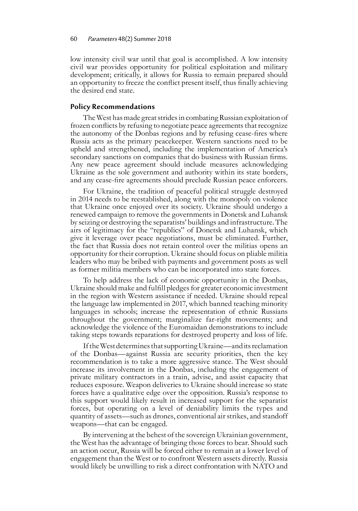low intensity civil war until that goal is accomplished. A low intensity civil war provides opportunity for political exploitation and military development; critically, it allows for Russia to remain prepared should an opportunity to freeze the conflict present itself, thus finally achieving the desired end state.

#### **Policy Recommendations**

The West has made great strides in combating Russian exploitation of frozen conflicts by refusing to negotiate peace agreements that recognize the autonomy of the Donbas regions and by refusing cease-fires where Russia acts as the primary peacekeeper. Western sanctions need to be upheld and strengthened, including the implementation of America's secondary sanctions on companies that do business with Russian firms. Any new peace agreement should include measures acknowledging Ukraine as the sole government and authority within its state borders, and any cease-fire agreements should preclude Russian peace enforcers.

For Ukraine, the tradition of peaceful political struggle destroyed in 2014 needs to be reestablished, along with the monopoly on violence that Ukraine once enjoyed over its society. Ukraine should undergo a renewed campaign to remove the governments in Donetsk and Luhansk by seizing or destroying the separatists' buildings and infrastructure. The airs of legitimacy for the "republics" of Donetsk and Luhansk, which give it leverage over peace negotiations, must be eliminated. Further, the fact that Russia does not retain control over the militias opens an opportunity for their corruption. Ukraine should focus on pliable militia leaders who may be bribed with payments and government posts as well as former militia members who can be incorporated into state forces.

To help address the lack of economic opportunity in the Donbas, Ukraine should make and fulfill pledges for greater economic investment in the region with Western assistance if needed. Ukraine should repeal the language law implemented in 2017, which banned teaching minority languages in schools; increase the representation of ethnic Russians throughout the government; marginalize far-right movements; and acknowledge the violence of the Euromaidan demonstrations to include taking steps towards reparations for destroyed property and loss of life.

If the West determines that supporting Ukraine—and its reclamation of the Donbas—against Russia are security priorities, then the key recommendation is to take a more aggressive stance. The West should increase its involvement in the Donbas, including the engagement of private military contractors in a train, advise, and assist capacity that reduces exposure. Weapon deliveries to Ukraine should increase so state forces have a qualitative edge over the opposition. Russia's response to this support would likely result in increased support for the separatist forces, but operating on a level of deniability limits the types and quantity of assets—such as drones, conventional air strikes, and standoff weapons—that can be engaged.

By intervening at the behest of the sovereign Ukrainian government, the West has the advantage of bringing those forces to bear. Should such an action occur, Russia will be forced either to remain at a lower level of engagement than the West or to confront Western assets directly. Russia would likely be unwilling to risk a direct confrontation with NATO and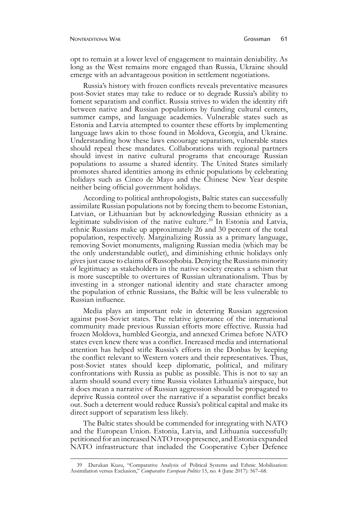opt to remain at a lower level of engagement to maintain deniability. As long as the West remains more engaged than Russia, Ukraine should emerge with an advantageous position in settlement negotiations.

Russia's history with frozen conflicts reveals preventative measures post-Soviet states may take to reduce or to degrade Russia's ability to foment separatism and conflict. Russia strives to widen the identity rift between native and Russian populations by funding cultural centers, summer camps, and language academies. Vulnerable states such as Estonia and Latvia attempted to counter these efforts by implementing language laws akin to those found in Moldova, Georgia, and Ukraine. Understanding how these laws encourage separatism, vulnerable states should repeal these mandates. Collaborations with regional partners should invest in native cultural programs that encourage Russian populations to assume a shared identity. The United States similarly promotes shared identities among its ethnic populations by celebrating holidays such as Cinco de Mayo and the Chinese New Year despite neither being official government holidays.

According to political anthropologists, Baltic states can successfully assimilate Russian populations not by forcing them to become Estonian, Latvian, or Lithuanian but by acknowledging Russian ethnicity as a legitimate subdivision of the native culture.<sup>39</sup> In Estonia and Latvia, ethnic Russians make up approximately 26 and 30 percent of the total population, respectively. Marginalizing Russia as a primary language, removing Soviet monuments, maligning Russian media (which may be the only understandable outlet), and diminishing ethnic holidays only gives just cause to claims of Russophobia. Denying the Russians minority of legitimacy as stakeholders in the native society creates a schism that is more susceptible to overtures of Russian ultranationalism. Thus by investing in a stronger national identity and state character among the population of ethnic Russians, the Baltic will be less vulnerable to Russian influence.

Media plays an important role in deterring Russian aggression against post-Soviet states. The relative ignorance of the international community made previous Russian efforts more effective. Russia had frozen Moldova, humbled Georgia, and annexed Crimea before NATO states even knew there was a conflict. Increased media and international attention has helped stifle Russia's efforts in the Donbas by keeping the conflict relevant to Western voters and their representatives. Thus, post-Soviet states should keep diplomatic, political, and military confrontations with Russia as public as possible. This is not to say an alarm should sound every time Russia violates Lithuania's airspace, but it does mean a narrative of Russian aggression should be propagated to deprive Russia control over the narrative if a separatist conflict breaks out. Such a deterrent would reduce Russia's political capital and make its direct support of separatism less likely.

The Baltic states should be commended for integrating with NATO and the European Union. Estonia, Latvia, and Lithuania successfully petitioned for an increased NATO troop presence, and Estonia expanded NATO infrastructure that included the Cooperative Cyber Defence

<sup>39</sup> Durukan Kuzu, "Comparative Analysis of Political Systems and Ethnic Mobilization: Assimilation versus Exclusion," *Comparative European Politics* 15, no. 4 (June 2017): 567–68.